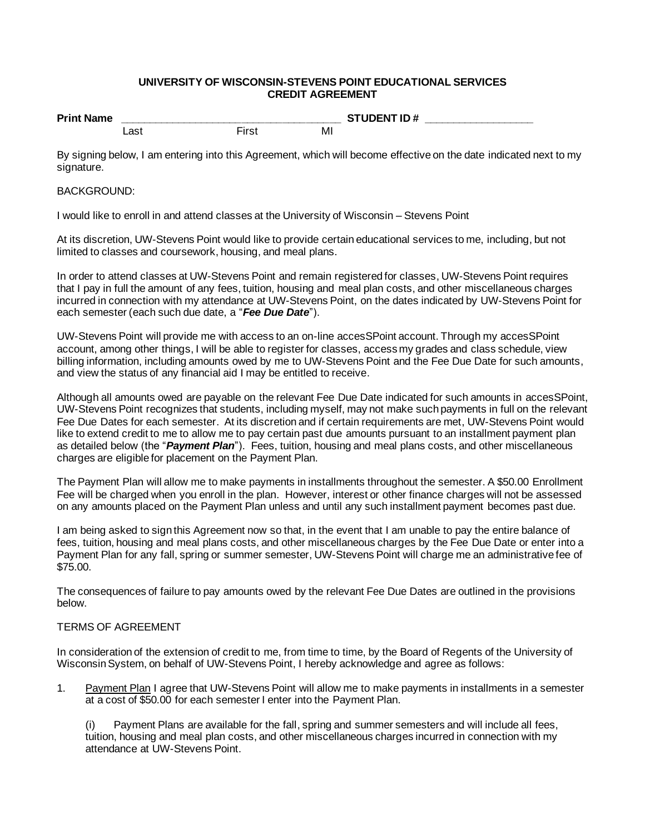## **UNIVERSITY OF WISCONSIN-STEVENS POINT EDUCATIONAL SERVICES CREDIT AGREEMENT**

| <b>Print Name</b> |              |       | <b>STUDENT ID#</b> |  |
|-------------------|--------------|-------|--------------------|--|
|                   | _as†<br>____ | First | Mı                 |  |

By signing below, I am entering into this Agreement, which will become effective on the date indicated next to my signature.

## BACKGROUND:

I would like to enroll in and attend classes at the University of Wisconsin – Stevens Point

At its discretion, UW-Stevens Point would like to provide certain educational services to me, including, but not limited to classes and coursework, housing, and meal plans.

In order to attend classes at UW-Stevens Point and remain registered for classes, UW-Stevens Point requires that I pay in full the amount of any fees, tuition, housing and meal plan costs, and other miscellaneous charges incurred in connection with my attendance at UW-Stevens Point, on the dates indicated by UW-Stevens Point for each semester (each such due date, a "*Fee Due Date*").

UW-Stevens Point will provide me with access to an on-line accesSPoint account. Through my accesSPoint account, among other things, I will be able to register for classes, access my grades and class schedule, view billing information, including amounts owed by me to UW-Stevens Point and the Fee Due Date for such amounts, and view the status of any financial aid I may be entitled to receive.

Although all amounts owed are payable on the relevant Fee Due Date indicated for such amounts in accesSPoint, UW-Stevens Point recognizes that students, including myself, may not make such payments in full on the relevant Fee Due Dates for each semester. At its discretion and if certain requirements are met, UW-Stevens Point would like to extend credit to me to allow me to pay certain past due amounts pursuant to an installment payment plan as detailed below (the "*Payment Plan*"). Fees, tuition, housing and meal plans costs, and other miscellaneous charges are eligible for placement on the Payment Plan.

The Payment Plan will allow me to make payments in installments throughout the semester. A \$50.00 Enrollment Fee will be charged when you enroll in the plan. However, interest or other finance charges will not be assessed on any amounts placed on the Payment Plan unless and until any such installment payment becomes past due.

I am being asked to sign this Agreement now so that, in the event that I am unable to pay the entire balance of fees, tuition, housing and meal plans costs, and other miscellaneous charges by the Fee Due Date or enter into a Payment Plan for any fall, spring or summer semester, UW-Stevens Point will charge me an administrative fee of \$75.00.

The consequences of failure to pay amounts owed by the relevant Fee Due Dates are outlined in the provisions below.

## TERMS OF AGREEMENT

In consideration of the extension of credit to me, from time to time, by the Board of Regents of the University of Wisconsin System, on behalf of UW-Stevens Point, I hereby acknowledge and agree as follows:

1. Payment Plan I agree that UW-Stevens Point will allow me to make payments in installments in a semester at a cost of \$50.00 for each semester I enter into the Payment Plan.

(i) Payment Plans are available for the fall, spring and summer semesters and will include all fees, tuition, housing and meal plan costs, and other miscellaneous charges incurred in connection with my attendance at UW-Stevens Point.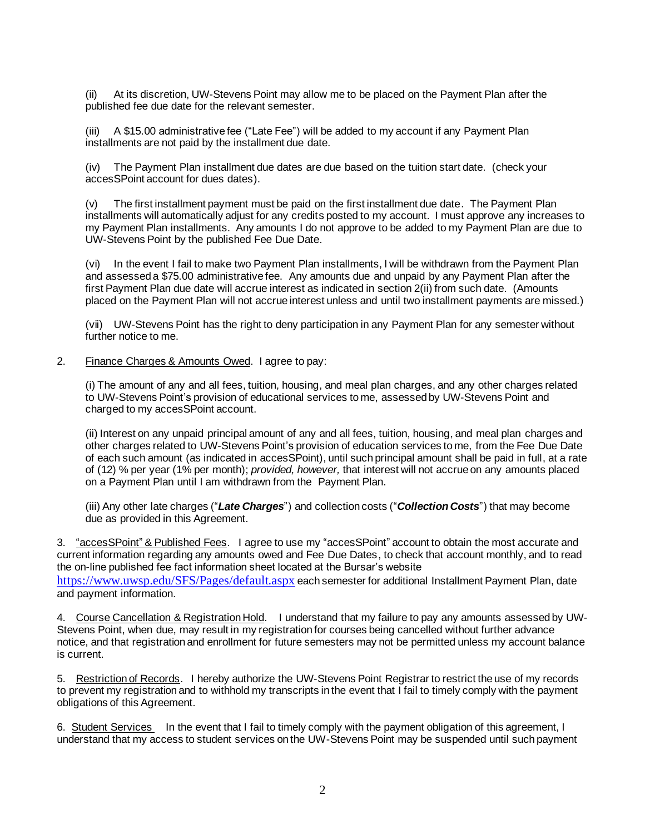(ii) At its discretion, UW-Stevens Point may allow me to be placed on the Payment Plan after the published fee due date for the relevant semester.

(iii) A \$15.00 administrative fee ("Late Fee") will be added to my account if any Payment Plan installments are not paid by the installment due date.

(iv) The Payment Plan installment due dates are due based on the tuition start date. (check your accesSPoint account for dues dates).

(v) The first installment payment must be paid on the first installment due date. The Payment Plan installments will automatically adjust for any credits posted to my account. I must approve any increases to my Payment Plan installments. Any amounts I do not approve to be added to my Payment Plan are due to UW-Stevens Point by the published Fee Due Date.

(vi) In the event I fail to make two Payment Plan installments, I will be withdrawn from the Payment Plan and assessed a \$75.00 administrative fee. Any amounts due and unpaid by any Payment Plan after the first Payment Plan due date will accrue interest as indicated in section 2(ii) from such date. (Amounts placed on the Payment Plan will not accrue interest unless and until two installment payments are missed.)

(vii) UW-Stevens Point has the right to deny participation in any Payment Plan for any semester without further notice to me.

2. Finance Charges & Amounts Owed. I agree to pay:

(i) The amount of any and all fees, tuition, housing, and meal plan charges, and any other charges related to UW-Stevens Point's provision of educational services to me, assessed by UW-Stevens Point and charged to my accesSPoint account.

(ii) Interest on any unpaid principal amount of any and all fees, tuition, housing, and meal plan charges and other charges related to UW-Stevens Point's provision of education services to me, from the Fee Due Date of each such amount (as indicated in accesSPoint), until such principal amount shall be paid in full, at a rate of (12) % per year (1% per month); *provided, however,* that interest will not accrue on any amounts placed on a Payment Plan until I am withdrawn from the Payment Plan.

(iii) Any other late charges ("*Late Charges*") and collection costs ("*Collection Costs*") that may become due as provided in this Agreement.

3. "accesSPoint" & Published Fees. I agree to use my "accesSPoint" account to obtain the most accurate and current information regarding any amounts owed and Fee Due Dates, to check that account monthly, and to read the on-line published fee fact information sheet located at the Bursar's website

<https://www.uwsp.edu/SFS/Pages/default.aspx> each semester for additional Installment Payment Plan, date and payment information.

4. Course Cancellation & Registration Hold. I understand that my failure to pay any amounts assessed by UW-Stevens Point, when due, may result in my registration for courses being cancelled without further advance notice, and that registration and enrollment for future semesters may not be permitted unless my account balance is current.

5. Restriction of Records. I hereby authorize the UW-Stevens Point Registrar to restrict the use of my records to prevent my registration and to withhold my transcripts in the event that I fail to timely comply with the payment obligations of this Agreement.

6. Student Services In the event that I fail to timely comply with the payment obligation of this agreement, I understand that my access to student services on the UW-Stevens Point may be suspended until such payment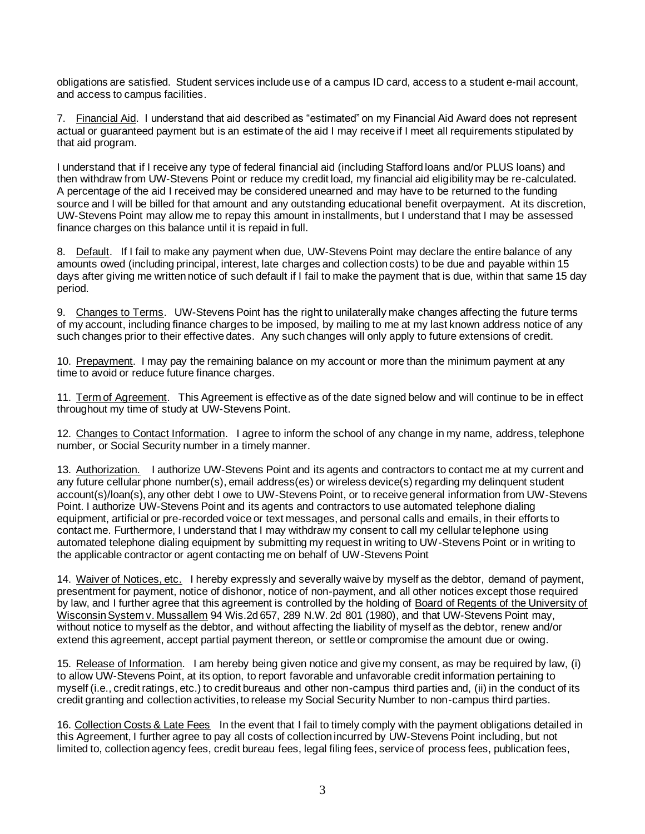obligations are satisfied. Student services include use of a campus ID card, access to a student e-mail account, and access to campus facilities.

7. Financial Aid. I understand that aid described as "estimated" on my Financial Aid Award does not represent actual or guaranteed payment but is an estimate of the aid I may receive if I meet all requirements stipulated by that aid program.

I understand that if I receive any type of federal financial aid (including Stafford loans and/or PLUS loans) and then withdraw from UW-Stevens Point or reduce my credit load, my financial aid eligibility may be re-calculated. A percentage of the aid I received may be considered unearned and may have to be returned to the funding source and I will be billed for that amount and any outstanding educational benefit overpayment. At its discretion, UW-Stevens Point may allow me to repay this amount in installments, but I understand that I may be assessed finance charges on this balance until it is repaid in full.

8. Default. If I fail to make any payment when due, UW-Stevens Point may declare the entire balance of any amounts owed (including principal, interest, late charges and collection costs) to be due and payable within 15 days after giving me written notice of such default if I fail to make the payment that is due, within that same 15 day period.

9. Changes to Terms. UW-Stevens Point has the right to unilaterally make changes affecting the future terms of my account, including finance charges to be imposed, by mailing to me at my last known address notice of any such changes prior to their effective dates. Any such changes will only apply to future extensions of credit.

10. Prepayment. I may pay the remaining balance on my account or more than the minimum payment at any time to avoid or reduce future finance charges.

11. Term of Agreement. This Agreement is effective as of the date signed below and will continue to be in effect throughout my time of study at UW-Stevens Point.

12. Changes to Contact Information. I agree to inform the school of any change in my name, address, telephone number, or Social Security number in a timely manner.

13. Authorization. I authorize UW-Stevens Point and its agents and contractors to contact me at my current and any future cellular phone number(s), email address(es) or wireless device(s) regarding my delinquent student account(s)/loan(s), any other debt I owe to UW-Stevens Point, or to receive general information from UW-Stevens Point. I authorize UW-Stevens Point and its agents and contractors to use automated telephone dialing equipment, artificial or pre-recorded voice or text messages, and personal calls and emails, in their efforts to contact me. Furthermore, I understand that I may withdraw my consent to call my cellular telephone using automated telephone dialing equipment by submitting my request in writing to UW-Stevens Point or in writing to the applicable contractor or agent contacting me on behalf of UW-Stevens Point

14. Waiver of Notices, etc. I hereby expressly and severally waive by myself as the debtor, demand of payment, presentment for payment, notice of dishonor, notice of non-payment, and all other notices except those required by law, and I further agree that this agreement is controlled by the holding of Board of Regents of the University of Wisconsin System v. Mussallem 94 Wis.2d 657, 289 N.W. 2d 801 (1980), and that UW-Stevens Point may, without notice to myself as the debtor, and without affecting the liability of myself as the debtor, renew and/or extend this agreement, accept partial payment thereon, or settle or compromise the amount due or owing.

15. Release of Information. I am hereby being given notice and give my consent, as may be required by law, (i) to allow UW-Stevens Point, at its option, to report favorable and unfavorable credit information pertaining to myself (i.e., credit ratings, etc.) to credit bureaus and other non-campus third parties and, (ii) in the conduct of its credit granting and collection activities, to release my Social Security Number to non-campus third parties.

16. Collection Costs & Late Fees In the event that I fail to timely comply with the payment obligations detailed in this Agreement, I further agree to pay all costs of collection incurred by UW-Stevens Point including, but not limited to, collection agency fees, credit bureau fees, legal filing fees, service of process fees, publication fees,